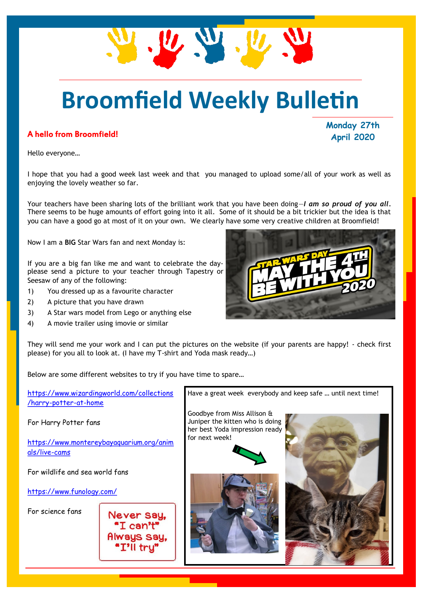## **Broomfield Weekly Bulletin**

#### A hello from Broomfield!

**Monday 27th April 2020**

Hello everyone…

I hope that you had a good week last week and that you managed to upload some/all of your work as well as enjoying the lovely weather so far.

Your teachers have been sharing lots of the brilliant work that you have been doing—*I am so proud of you all.*  There seems to be huge amounts of effort going into it all. Some of it should be a bit trickier but the idea is that you can have a good go at most of it on your own. We clearly have some very creative children at Broomfield!

Now I am a **BIG** Star Wars fan and next Monday is:

If you are a big fan like me and want to celebrate the dayplease send a picture to your teacher through Tapestry or Seesaw of any of the following:

- 1) You dressed up as a favourite character
- 2) A picture that you have drawn
- 3) A Star wars model from Lego or anything else
- 4) A movie trailer using imovie or similar



Below are some different websites to try if you have time to spare…